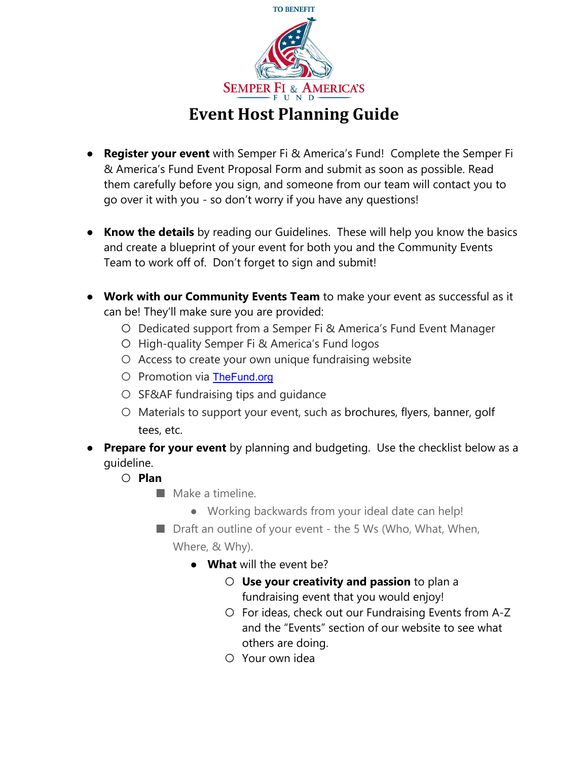

## **Event Host Planning Guide**

- **Register your event** with Semper Fi & America's Fund! Complete the Semper Fi & America's Fund Event Proposal Form and submit as soon as possible. Read them carefully before you sign, and someone from our team will contact you to go over it with you - so don't worry if you have any questions!
- **Know the details** by reading our Guidelines. These will help you know the basics and create a blueprint of your event for both you and the Community Events Team to work off of. Don't forget to sign and submit!
- **Work with our Community Events Team** to make your event as successful as it can be! They'll make sure you are provided:
	- Dedicated support from a Semper Fi & America's Fund Event Manager
	- High-quality Semper Fi & America's Fund logos
	- Access to create your own unique fundraising website
	- Promotion via TheFund.org
	- SF&AF fundraising tips and guidance
	- Materials to support your event, such as brochures, flyers, banner, golf tees, etc.
- **Prepare for your event** by planning and budgeting. Use the checklist below as a guideline.
	- **Plan**
		- Make a timeline.
			- Working backwards from your ideal date can help!
		- Draft an outline of your event the 5 Ws (Who, What, When, Where, & Why).
			- **What** will the event be?
				- **Use your creativity and passion** to plan a fundraising event that you would enjoy!
				- For ideas, check out our Fundraising Events from A-Z and the "Events" section of our website to see what others are doing.
				- Your own idea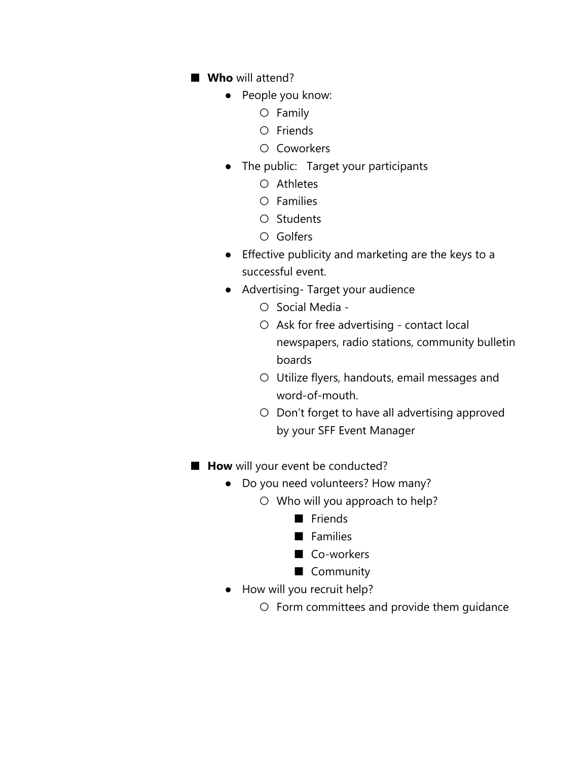- Who will attend?
	- People you know:
		- Family
		- Friends
		- Coworkers
	- The public: Target your participants
		- Athletes
		- Families
		- Students
		- Golfers
	- Effective publicity and marketing are the keys to a successful event.
	- Advertising- Target your audience
		- Social Media -
		- Ask for free advertising contact local newspapers, radio stations, community bulletin boards
		- Utilize flyers, handouts, email messages and word-of-mouth.
		- Don't forget to have all advertising approved by your SFF Event Manager
- **How** will your event be conducted?
	- Do you need volunteers? How many?
		- Who will you approach to help?
			- Friends
			- Families
			- Co-workers
			- Community
	- How will you recruit help?
		- Form committees and provide them guidance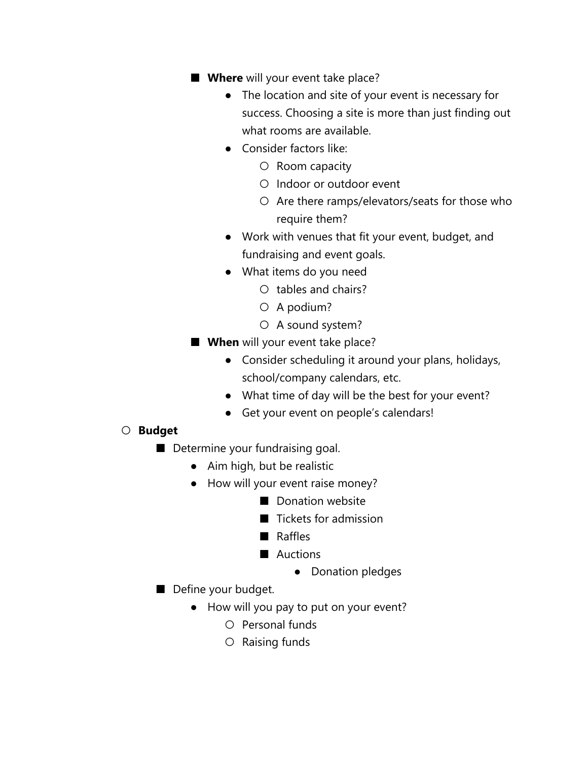- **Where** will your event take place?
	- The location and site of your event is necessary for success. Choosing a site is more than just finding out what rooms are available.
	- Consider factors like:
		- Room capacity
		- Indoor or outdoor event
		- Are there ramps/elevators/seats for those who require them?
	- Work with venues that fit your event, budget, and fundraising and event goals.
	- What items do you need
		- tables and chairs?
		- A podium?
		- A sound system?
- **When** will your event take place?
	- Consider scheduling it around your plans, holidays, school/company calendars, etc.
	- What time of day will be the best for your event?
	- Get your event on people's calendars!

## ○ **Budget**

- Determine your fundraising goal.
	- Aim high, but be realistic
	- How will your event raise money?
		- Donation website
		- Tickets for admission
		- Raffles
		- Auctions
			- Donation pledges
- Define your budget.
	- How will you pay to put on your event?
		- Personal funds
		- Raising funds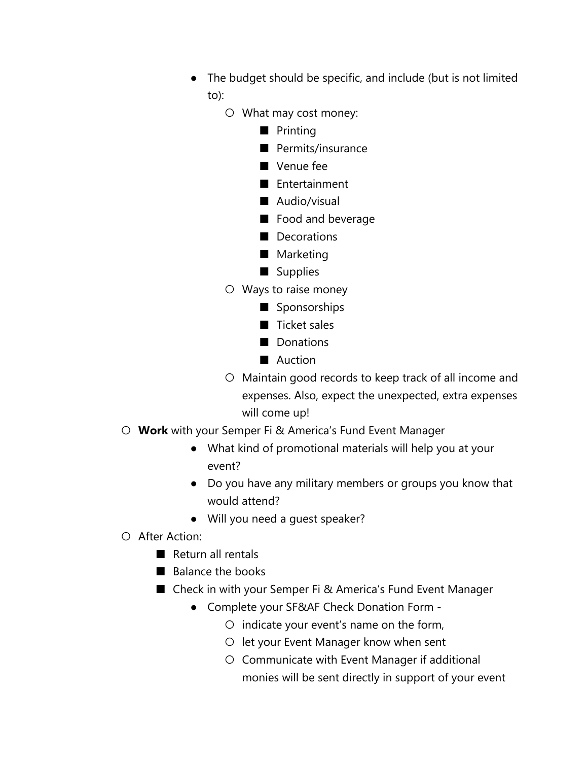- The budget should be specific, and include (but is not limited to):
	- What may cost money:
		- Printing
		- Permits/insurance
		- Venue fee
		- Entertainment
		- Audio/visual
		- Food and beverage
		- Decorations
		- Marketing
		- Supplies
	- Ways to raise money
		- Sponsorships
		- Ticket sales
		- Donations
		- Auction
	- Maintain good records to keep track of all income and expenses. Also, expect the unexpected, extra expenses will come up!
- **Work** with your Semper Fi & America's Fund Event Manager
	- What kind of promotional materials will help you at your event?
	- Do you have any military members or groups you know that would attend?
	- Will you need a guest speaker?
- After Action:
	- Return all rentals
	- Balance the books
	- Check in with your Semper Fi & America's Fund Event Manager
		- Complete your SF&AF Check Donation Form -
			- $\circ$  indicate your event's name on the form,
			- let your Event Manager know when sent
			- Communicate with Event Manager if additional monies will be sent directly in support of your event